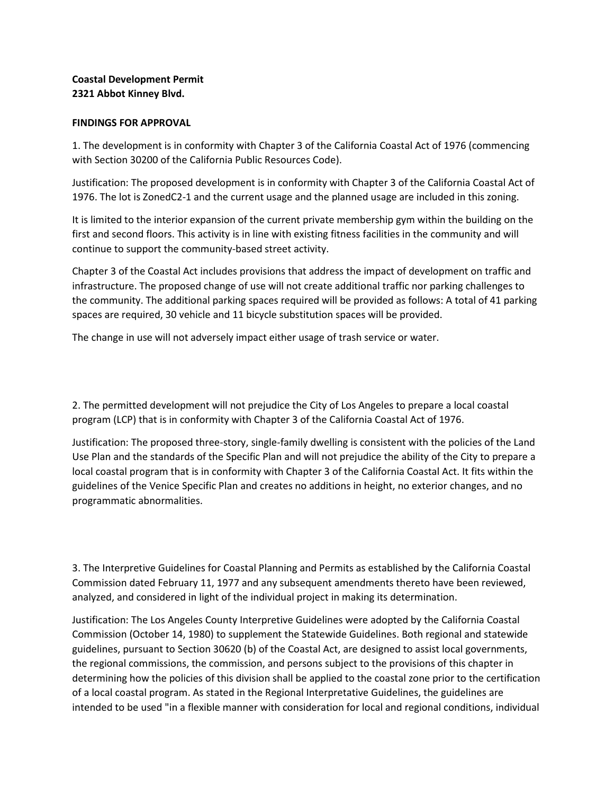## **Coastal Development Permit 2321 Abbot Kinney Blvd.**

## **FINDINGS FOR APPROVAL**

1. The development is in conformity with Chapter 3 of the California Coastal Act of 1976 (commencing with Section 30200 of the California Public Resources Code).

Justification: The proposed development is in conformity with Chapter 3 of the California Coastal Act of 1976. The lot is ZonedC2-1 and the current usage and the planned usage are included in this zoning.

It is limited to the interior expansion of the current private membership gym within the building on the first and second floors. This activity is in line with existing fitness facilities in the community and will continue to support the community-based street activity.

Chapter 3 of the Coastal Act includes provisions that address the impact of development on traffic and infrastructure. The proposed change of use will not create additional traffic nor parking challenges to the community. The additional parking spaces required will be provided as follows: A total of 41 parking spaces are required, 30 vehicle and 11 bicycle substitution spaces will be provided.

The change in use will not adversely impact either usage of trash service or water.

2. The permitted development will not prejudice the City of Los Angeles to prepare a local coastal program (LCP) that is in conformity with Chapter 3 of the California Coastal Act of 1976.

Justification: The proposed three-story, single-family dwelling is consistent with the policies of the Land Use Plan and the standards of the Specific Plan and will not prejudice the ability of the City to prepare a local coastal program that is in conformity with Chapter 3 of the California Coastal Act. It fits within the guidelines of the Venice Specific Plan and creates no additions in height, no exterior changes, and no programmatic abnormalities.

3. The Interpretive Guidelines for Coastal Planning and Permits as established by the California Coastal Commission dated February 11, 1977 and any subsequent amendments thereto have been reviewed, analyzed, and considered in light of the individual project in making its determination.

Justification: The Los Angeles County Interpretive Guidelines were adopted by the California Coastal Commission (October 14, 1980) to supplement the Statewide Guidelines. Both regional and statewide guidelines, pursuant to Section 30620 (b) of the Coastal Act, are designed to assist local governments, the regional commissions, the commission, and persons subject to the provisions of this chapter in determining how the policies of this division shall be applied to the coastal zone prior to the certification of a local coastal program. As stated in the Regional Interpretative Guidelines, the guidelines are intended to be used "in a flexible manner with consideration for local and regional conditions, individual